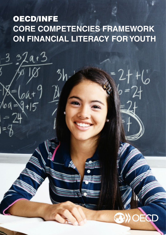# OECD/INFE **CORE COMPETENCIES FRAMEWORK ON FINANCIAL LITERACY FOR YOUTH**

 $\digamma+\bigl(\begin{smallmatrix}1\cr\end{smallmatrix}\bigr)$ 

OECD/INFE CORE COMPETENCIES FRAMEWORK ON FINANCIAL LITERACY FRAMEWORK ON FINANCIAL LITERACY FRAMEWORK ON FINANCIAL LITERACY FRAMEWORK ON FINANCIAL LITERACY FRAMEWORK ON FINANCIAL LITERACY FOR YOUTH 1999 AND 1999 AND 1999 A

 $3.32a.3$ 

a+9

 $t\vert 5$ 

74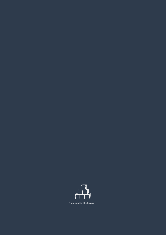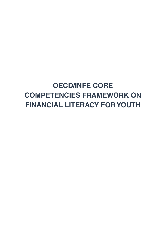## **OECD/INFE CORE COMPETENCIES FRAMEWORK ON FINANCIAL LITERACY FOR YOUTH**

OECD/INFE CORE COMPETENCIES FRAMEWORK ON FINANCIAL LITERACY FOR YOUTH OECD/INFE CORE COMPETENCIES FRAMEWORK ON FINANCIAL LITERACY FOR YOUTH 3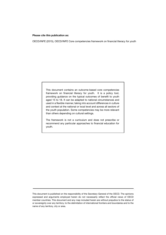### Please cite this publication as:

OECD/INFE (2015), OECD/INFE Core competencies framework on financial literacy for youth

This document contains an outcome-based core competencies framework on financial literacy for youth. It is a policy tool, providing guidance on the typical outcomes of benefit to youth aged 15 to 18. It can be adapted to national circumstances and used in a flexible manner, taking into account differences in culture and context at the national or local level and across all sectors of the youth population. Some competencies may be more relevant than others depending on cultural settings.

The framework is not a curriculum and does not prescribe or recommend any particular approaches to financial education for youth.

This document is published on the responsibility of the Secretary-General of the OECD. The opinions expressed and arguments employed herein do not necessarily reflect the official views of OECD member countries. This document and any map included herein are without prejudice to the status of or sovereignty over any territory, to the delimitation of international frontiers and boundaries and to the name of any territory, city or area.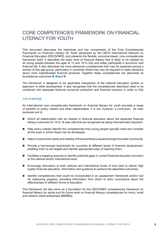### CORE COMPETENCIES FRAMEWORK ON FINANCIAL LITERACY FOR YOUTH

This document discusses the objectives and key components of the Core Competencies Framework on Financial Literacy for Youth developed by the OECD International Network on Financial Education (OECD/INFE), and presents the flexible, outcome-based, core competencies framework itself. It describes the basic level of financial literacy that is likely to be needed by all young people between the ages of 15 and 18 to fully and safely participate in economic and financial life. It also describes the more advanced competencies that may be expected among a portion of this age-group, particularly in countries where they may be required to make decisions about more sophisticated financial products. Together these competencies are described as foundational outcomes  $\mathbf{0}, \mathbf{\Theta}$  and  $\mathbf{\Theta}.$ 

The framework is designed to be applicable irrespective of the national education system or approach to skills development. It also recognises that the competencies described need to be combined with adequate financial consumer protection and financial inclusion in order to fully

### The purpose

An international core competencies framework on financial literacy for youth provides a range of benefits to policy makers and other stakeholders. It is not, however, a curriculum. Its main purposes are to:

- Inform all stakeholders with an interest in financial education about the expected financial literacy outcomes for 15 to 18 year olds that are recognised as being internationally important.
- Help policy makers identify the competencies that young people typically need and consider all the ways in which these may be developed.
- $\blacksquare$  Help to improve the clarity and visibility of financial literacy issues amongst the wider community.
- **Provide a harmonised benchmark for countries at different levels of financial development,** enabling them to set targets and identify appropriate ways of reaching them.
- **Facilitate a mapping exercise to identify potential gaps in current financial education provision** at the national and/or international level.
- **Encourage discussion at both national and international levels of how best to deliver high** quality financial education, information and guidance to achieve the described outcomes.
- I Identify competencies that could be incorporated in an assessment framework and/or tool for measuring progress, providing information from which to draw conclusions about the effectiveness of different forms of education.

This framework will also serve as a foundation for the OECD/INFE competencies framework on financial literacy for adults and for future work on financial literacy competencies for micro, small and medium-sized enterprises (MSMEs).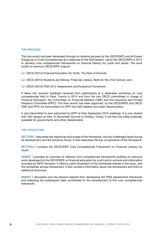### The Process

This document has been developed through an iterative process by the OECD/INFE and its Expert Subgroup on Core Competencies as a response to the G20 leaders' call to the OECD/INFE in 2013 to develop core competencies frameworks on financial literacy for youth and adults. The work builds on previous OECD/INFE outputs:

- COMB OECD (2014) Financial Education for Youth, The Role of Schools:
- OECD (2014) Students and Money: Financial Literacy Skills for the 21st Century; and
- OECD (2013) PISA 2012 Assessment and Analytical Framework.

It takes into account feedback received from participants at a dedicated workshop on core competencies held in Paris, France in 2014 and from the two OECD committees in charge of Financial Education, the Committee on Financial Markets (CMF) and the Insurance and Private Pensions Committee (IPPC). This final version has been approved by the OECD/INFE and OECD CMF and IPPC for transmission to GPFI and G20 leaders and wider dissemination.

It was transmitted to and welcomed by GPFI at their September 2015 meetings. It is now shared with G20 leaders at their 15 November Summit in Antalya, Turkey. It will then be made publically available for governments and other stakeholders.

### The STRUCTURE

SECTION 1 discusses the objectives and scope of the framework, the key challenges faced during its development and the solutions found. It then describes the key components of the framework.

Section 2 contains the OECD/INFE Core Competencies Framework on Financial Literacy for Youth.

Annex 1 provides an overview of national core competencies frameworks building on previous work developed by the OECD/INFE on financial education for youth and in schools and information provided by INFE members. It offers a useful illustration of the worldwide interest in the topic, and the similarities across frameworks. It also contains information about the frameworks and links to additional resources.

Annex 2 discusses how the lessons learned from developing the PISA assessment framework and analysing the subsequent data contributed to the development of this core competencies framework.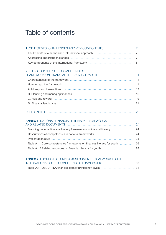## Table of contents

| The benefits of a harmonised international approach manufactured contains a manufactured 7                                                                                                                                     |  |
|--------------------------------------------------------------------------------------------------------------------------------------------------------------------------------------------------------------------------------|--|
|                                                                                                                                                                                                                                |  |
|                                                                                                                                                                                                                                |  |
| 2. THE OECD/INFE CORE COMPETENCIES                                                                                                                                                                                             |  |
|                                                                                                                                                                                                                                |  |
|                                                                                                                                                                                                                                |  |
| How to read the framework manufactured and the framework and the framework of the state of the framework and the framework of the state of the framework of the framework of the state of the framework of the framework of th |  |
| A. Money and transactions www.communication.com/                                                                                                                                                                               |  |
| B. Planning and managing finances www.www.www.www.www.www.www. 16                                                                                                                                                              |  |
|                                                                                                                                                                                                                                |  |
|                                                                                                                                                                                                                                |  |
|                                                                                                                                                                                                                                |  |
| <b>ANNEX 1: NATIONAL FINANCIAL LITERACY FRAMEWORKS</b>                                                                                                                                                                         |  |
|                                                                                                                                                                                                                                |  |
| Mapping national financial literacy frameworks on financial literacy  24                                                                                                                                                       |  |
|                                                                                                                                                                                                                                |  |
|                                                                                                                                                                                                                                |  |
| Table A1.1 Core competencies frameworks on financial literacy for youth  26                                                                                                                                                    |  |
|                                                                                                                                                                                                                                |  |

| <b>ANNEX 2: FROM AN OECD-PISA ASSESSMENT FRAMEWORK TO AN</b> |  |
|--------------------------------------------------------------|--|
|                                                              |  |
|                                                              |  |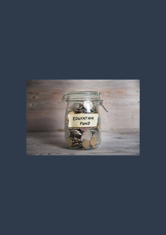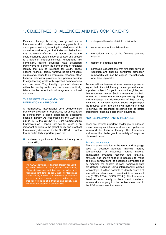### <span id="page-8-0"></span>1. OBJECTIVES, CHALLENGES AND KEY COMPONENTS

Financial literacy is widely recognised as a fundamental skill of relevance to young people. It is a complex construct, including knowledge and skills as well as a wide range of attitudes and behaviours that are clearly influenced by factors such as the socio-economic status, national context and access to a range of financial services. Recognising this complexity, several countries have developed frameworks to identify the components of financial literacy that are of relevance for youth. These national financial literacy frameworks are a valuable source of guidance to policy makers, teachers, other financial education providers and parents seeking to align learning goals with expected competencies and outcomes. They identify topics of relevance within the country context and some are specifically tailored to the current education system or national curriculum.

### THE BENEFITS OF A HARMONISED international approach

A harmonised, international core competencies framework provides an opportunity for all countries to benefit from a global approach to describing financial literacy. As recognised by the G20 in its call in 2013, the OECD/INFE Core Competencies Framework on Financial Literacy for Youth is an important addition to the global policy and practical tools already developed by the OECD/INFE. Such a tool is particularly important given the:

**universal significance of financial literacy as a** core skill;



The OECD definition of financial literacy for youth, as used in PISA is: "Knowledge and understanding of financial concepts and risks, and the skills, motivation and confidence to apply such knowledge and understanding in order to make effective decisions across a range of financial contexts, to improve the financial well-being of individuals and society, and to enable participation in economic life."

- widespread transfer of risk to individuals;
- easier access to financial services;
- $\blacksquare$  international nature of the financial services industry;
- mobility of populations; and
- $\blacksquare$  increasing expectations that financial services regulation and financial consumer protection frameworks will also be aligned internationally (or at least regionally).

An international framework also creates a powerful signal that financial literacy is recognised as an important subject for youth across the globe, and that outcomes matter. Such a message can help to keep up momentum when implementing change and encourage the development of high quality initiatives. It may also motivate young people to put the required effort into their own learning in order to achieve the described outcomes and be better prepared for financial decisions in adulthood.

### Addressing important challengEs

There are several important challenges to address when creating an international core competencies framework for financial literacy. This framework addresses the challenges in a variety of ways, as discussed below.

### Ensuring consistency

There is some variation in the terms and language used to describe potential financial literacy competencies or outcomes across national frameworks. Previous research and analysis, however, has shown that it is possible to make objective comparisons of described competencies by mapping the content of each framework onto pre-defined headings using internationally agreed terminology. It is then possible to identify content of international relevance and describe it in a consistent way (OECD, 2014a; OECD, 2014b). This framework therefore draws heavily on the content of national frameworks, mapping it to the content areas used in the PISA assessment framework.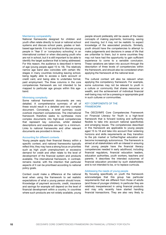### <span id="page-9-0"></span>Maintaining comparability

National frameworks designed for children and youth often relate directly to local or national school systems and discuss school years, grades or testbased age bands. It is not practical to discuss young people in 'Year 5' or 'compulsory schooling' in an international context or when discussing youth who are not in school, but it is still important to be able to identify the target audience that is being addressed. For this reason, the audience is described in terms of age (young people aged 15 to 18). The relatively narrow age band also coincides with certain lifestages in many countries including leaving school, being legally able to access a bank account or credit card, and being able to undertake formal, paid employment. The three columns in the core competencies framework are not intended to be mapped to particular age groups within this ageband.

### Minimising complexity

Some national framework documents are very detailed. A comprehensive summary of all of these would result in a detailed and very complex document. Conversely, a brief summary could overlook important competencies. The international framework therefore seeks to synthesise more complex documents into high-level competencies that represent key outcomes, whilst detailed descriptions and examples are kept to a minimum. Links to national frameworks and other relevant documents are provided in Annex 1.

#### Accounting for different contexts

Young people apply their financial literacy within a specific context, and national frameworks typically reflect this; they may have a strong focus on priorities such as high youth unemployment or excessive demand for credit and often relate to the level of development of the financial system and products available. The international framework, in contrast, remains neutral, with the intention that particular aspects of it can be prioritised according to national policy goals.

Context could make a difference at the national level when using the framework to set realistic expectations of what a young person should know. Knowledge of payment accounts, credit, insurance and savings for example will depend on the level of financial development within a country. In countries where such products are not widely available, young

people should preferably still be aware of the basic concepts of making payments, borrowing, saving and insuring, but it may not be realistic to expect knowledge of the associated products. Similarly, youth should have the competencies to attempt to make judgements and decisions in areas of life that are unfamiliar to them, but in some countries they may not have had the opportunity to gain sufficient experience to come to a sensible conclusion. These variations are taken into account through the description of three levels of competencies within the framework, and should also be considered when applying the framework at the national level.

The cultural context will also be relevant when applying the competency framework. For example, some outcomes may not be relevant to youth in a culture or community that shares resources or wealth, and the achievement of individual financial well-being may not be a pressing or appropriate goal in such cultures or communities.

### Key components of the **FRAMEWORK**

The OECD/INFE Core Competencies Framework on Financial Literacy for Youth is a high-level framework that is forward looking and sufficiently flexible to take into account national specificities and emerging issues. The competencies described in this framework are applicable to young people aged 15 to 18 and take into account their widening horizons and skills requirements as they transition to the job market or further/higher education and become increasingly autonomous. The framework is aimed at all stakeholders with an interest in ensuring that young people have the financial literacy competencies needed in early adulthood, including financial regulators, financial education leaders, education authorities, youth workers, teachers and parents. It describes the intended outcomes of financial education provided by such stakeholders and is not intended to be, or to replace curricula.

### Addressing the needs of young people

By focusing specifically on youth the framework acknowledges that this group has particular requirements that are different from those of adults (and those of younger children). In particular they are relatively inexperienced in using financial products and may only recently have started handling financial transactions. They are also very likely to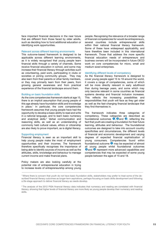face important financial decisions in the near future that are different from those faced by older adults, such as deciding how to fund additional education or identifying work opportunities.

### Relevant across different learning environments

This outcome-based framework is designed to be applicable across different learning environments, as it is widely recognised that young people learn financial skills through a variety of channels. Some receive financial education in school, and some may increase their financial literacy through activities such as volunteering, paid work, participating in clubs or societies or joining community groups. They may also learn from their parents or other family members, or they may primarily learn from their peers, from growing general awareness and from practical experience of the financial landscape around them.

#### Building on basic foundation skills

As the core competencies framework starts at age 15, there is an implicit assumption that young people of this age already have foundation skills and knowledge in place.1 In particular, the core competencies framework assumes that young people have had the opportunity to develop a basic ability to read and write in a national language, and to learn basic numeracy and analytical skills.<sup>2</sup> Verbal communication and reasoning skills, as well as an understanding of commonly held cultural values, ethics or citizenship are also likely to prove important, as is digital literacy.

### Supporting employment

Financial literacy is seen as an important skill to help young people make the most of employment opportunities and their incomes. The framework therefore specifically recognises the importance of being able to identify sources of income as well as the attitudes, skills, knowledge and behaviour to manage current income and make financial plans.

Policy makers are also looking carefully at the potential role of entrepreneurial education in trying to increase levels of entrepreneurship among young

people. Recognising the relevance of a broader range of financial competencies for would-be entrepreneurs, several countries include entrepreneurial skills within their national financial literacy framework. Some of these have widespread applicability, and have therefore been included in this international framework. Those that address the more specific financial education needs of entrepreneurs and business owners will be incorporated in future OECD work on core competencies for micro, small and medium sized enterprises.

### Identifying different levels of competency

As the financial literacy framework is designed to cover young people aged 15 to 18 around the world, it covers a range of competencies, some of which will be more directly relevant in early adulthood than during teenage years, and some which may only become relevant in some countries as financial systems develop and financial inclusion increases. This reflects the increasing possibilities and responsibilities that youth will face as they get older as well as the fast-changing financial landscape that they find themselves in.

The framework indicates three categories of competency. These categories are described as foundational outcomes  $\mathbf{0}, \mathbf{\Theta}$  and  $\mathbf{\Theta}$ , reflecting the fact that youth are creating a foundation for their future learning, attitudes and behaviour. The foundational outcomes are designed to take into account country specificities and circumstances, the different levels of financial and economic development and varying degrees of expected financial sophistication of young consumers. Competencies found within foundational outcome  $\bullet$  may be expected of almost all young people whilst foundational outcomes **2** and **3** represent more advanced capabilities and competencies that may be expected of some young people between the ages of 15 and 18.

<sup>1</sup> Where there is concern that youth do not have basic foundation skills, stakeholders may prefer to treat some of the described financial literacy outcomes as longer-term aspirations, perhaps focusing on basic skills development and following a life-stage approach to deliver financial literacy as needs develop.

<sup>&</sup>lt;sup>2</sup> The analysis of the 2012 PISA financial literacy data indicates that numeracy and reading are correlated with financial literacy, showing that higher levels of financial literacy are more likely as young people develop their numeracy and reading skills.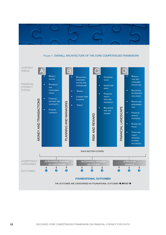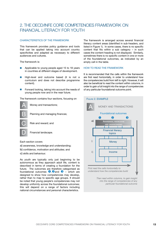### <span id="page-12-0"></span>2. THE OECD/INFE CORE COMPETENCIES FRAMEWORK ON FINANCIAL LITERACY FOR YOUTH

### characteristics of the framework

This framework provides policy guidance and tools that can be applied taking into account country specificities and adapted as necessary to different audiences and cultures.

The framework is:

- **Applicable to young people aged 15 to 18 years** in countries at different stages of development.
- High-level and outcome based (it is not a curriculum and does not describe programme content).
- Forward looking, taking into account the needs of young people now and in the near future.

The framework contains four sections, focusing on



Money and transactions;



Planning and managing finances;



Risk and reward; and



Financial landscape.

Each section covers

- a) awareness, knowledge and understanding;
- b) confidence, motivation and attitudes; and
- c) skills and behaviour.

As youth are typically only just beginning to be autonomous as they approach adult life, content is described in terms of creating a foundation for the future. The outcomes are therefore categorised as foundational outcomes  $\mathbf{0},\mathbf{\Theta}$  and  $\mathbf{\Theta}$  – which are designed to show how competencies may develop, rather than to map to specific age groups. It should be noted that young people's competencies may not develop uniformly across the foundational outcomes; this will depend on a range of factors including national circumstances and personal characteristics.

The framework is arranged across several financial literacy content areas (identified in sub-headers, and listed in Figure 1). In some cases, there is no specific content that fits within a sub category – in such cases the content heading is not displayed. Similarly, sometimes there is no specific content in one or more of the foundational outcomes, as indicated by an empty cell in the table.

### How to read the framework

It is recommended that the cells within the framework are first read horizontally, in order to understand how the competencies build from left to right. However, it will also be beneficial to read the content within columns, in order to gain a full insight into the range of competencies of any particular foundational outcome point.



*Then read within columns, to gain insight into the range of competencies of any particular foundational outcome*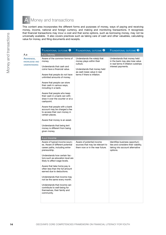<span id="page-13-0"></span>

This content area incorporates the different forms and purposes of money, ways of paying and receiving money, income, national and foreign currency, and making and monitoring transactions. It recognises that financial transactions may incur a cost and that some options, such as borrowing money, may not be universally available. It also covers practices such as taking care of cash and other valuables, calculating value for money, and filing documents and receipts.

|                                                            | FOUNDATIONAL OUTCOME <sup>0</sup>                                                                                                                                                                                                                                                                                                                                                                                                                                                                                                                                                                                 | FOUNDATIONAL OUTCOME <sup>2</sup>                                                                                                                                  | FOUNDATIONAL OUTCOME <sup>S</sup>                                                                                            |
|------------------------------------------------------------|-------------------------------------------------------------------------------------------------------------------------------------------------------------------------------------------------------------------------------------------------------------------------------------------------------------------------------------------------------------------------------------------------------------------------------------------------------------------------------------------------------------------------------------------------------------------------------------------------------------------|--------------------------------------------------------------------------------------------------------------------------------------------------------------------|------------------------------------------------------------------------------------------------------------------------------|
| A.a                                                        | A.a.i Money                                                                                                                                                                                                                                                                                                                                                                                                                                                                                                                                                                                                       |                                                                                                                                                                    |                                                                                                                              |
| AWARENESS,<br><b>KNOWLEDGE AND</b><br><b>UNDERSTANDING</b> | Aware of the common forms of<br>money.<br>Understands that cash and<br>coins have a financial value.<br>Aware that people do not have<br>unlimited amounts of money.<br>Aware that people can store<br>their cash in various ways,<br>including in a bank.<br>Aware that people who keep<br>their cash in a bank can with-<br>draw it over the counter or at a<br>cashpoint.<br>Aware that people with a bank<br>account may be charged a fee<br>to access their own money in<br>certain places.<br>Aware that money is an asset.<br>Understands that being lent<br>money is different from being<br>given money. | Understands the role(s) that<br>money plays within their<br>culture.<br>Understands that money held<br>as cash loses value in real<br>terms if there is inflation. | Understands that money held<br>in the bank may also lose value<br>in real terms if inflation outstrips<br>interest payments. |
|                                                            |                                                                                                                                                                                                                                                                                                                                                                                                                                                                                                                                                                                                                   |                                                                                                                                                                    |                                                                                                                              |
|                                                            | A.a.ii Income<br>Aware of typical income sourc-<br>es. Aware of different potential<br>career paths, including entre-<br>preneurship.<br>Understands how certain fac-<br>tors such as education level are<br>likely to affect wage levels.<br>Aware that take home pay is<br>often less than the full amount<br>earned due to deductions.<br>Understands that income may<br>not be the same every month.<br>Understands that income can<br>contribute to well-being for<br>themselves, their family and<br>community.                                                                                             | Aware of potential income<br>sources that may be relevant to<br>them now or in the near future.                                                                    | Identifies business opportuni-<br>ties and considers their viability,<br>taking into account alternative<br>options.         |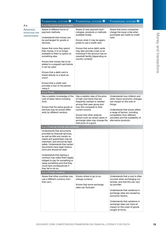| FOUNDATIONAL OUTCOME <sup>0</sup>                                                                                                                                                                                                                                                                                                                                                                                                                             | FOUNDATIONAL OUTCOME <sup>2</sup>                                                                                                                                                                                                                                                                             | FOUNDATIONAL OUTCOME <sup>S</sup>                                                                                                                                                                                                                                                                                              |
|---------------------------------------------------------------------------------------------------------------------------------------------------------------------------------------------------------------------------------------------------------------------------------------------------------------------------------------------------------------------------------------------------------------------------------------------------------------|---------------------------------------------------------------------------------------------------------------------------------------------------------------------------------------------------------------------------------------------------------------------------------------------------------------|--------------------------------------------------------------------------------------------------------------------------------------------------------------------------------------------------------------------------------------------------------------------------------------------------------------------------------|
| A.a.iii Payments and purchases                                                                                                                                                                                                                                                                                                                                                                                                                                |                                                                                                                                                                                                                                                                                                               |                                                                                                                                                                                                                                                                                                                                |
| Aware of different forms of<br>payment methods.<br>Understands that money can<br>be exchanged for goods or<br>services.<br>Aware that once they spend<br>their money, it is no longer<br>available to them to spend on<br>something else.<br>Knows that money has to be<br>added to a prepaid card before<br>it can be used.<br>Knows that a debit card is<br>linked directly to a bank ac-<br>count.                                                         | Aware of new payment tech-<br>nologies, products or methods<br>available locally.<br>Knows when it may be appro-<br>priate to use a credit card.<br>Knows that some debit cards<br>may also provide a loan to an<br>individual if the account has an<br>overdraft facility [depending on<br>country context]. | Aware that some companies<br>charge the buyer a fee when<br>purchases are made by credit<br>card.                                                                                                                                                                                                                              |
| provides a loan to the person<br>using it.                                                                                                                                                                                                                                                                                                                                                                                                                    |                                                                                                                                                                                                                                                                                                               |                                                                                                                                                                                                                                                                                                                                |
| A.a.iv Prices                                                                                                                                                                                                                                                                                                                                                                                                                                                 |                                                                                                                                                                                                                                                                                                               |                                                                                                                                                                                                                                                                                                                                |
| Has a realistic knowledge of the<br>cost of basic items including<br>food.<br>Knows that the same goods or<br>services may be priced differ-<br>ently by different vendors.                                                                                                                                                                                                                                                                                   | Has a realistic idea of the price<br>of high cost items that are<br>frequently wanted or needed<br>among their peer group and<br>how this compares to their<br>current income.                                                                                                                                | Understands how inflation and<br>other macro-economic changes<br>can impact on the cost of<br>things.<br>Understands that prices reflect<br>a range of factors, including                                                                                                                                                      |
|                                                                                                                                                                                                                                                                                                                                                                                                                                                               | factors such as certain taxes or<br>exchange rates may change the<br>final price of a good.                                                                                                                                                                                                                   | competition from different<br>providers and the availability of<br>alternative products.                                                                                                                                                                                                                                       |
|                                                                                                                                                                                                                                                                                                                                                                                                                                                               |                                                                                                                                                                                                                                                                                                               |                                                                                                                                                                                                                                                                                                                                |
| Understands that documents<br>provided by financial services,<br>as well as bills and certain re-<br>ceipts and guarantees may be<br>important, and should be kept<br>safely. Understands that certain<br>documents have legal implica-<br>tions and should be read.<br>Understands that signing a<br>contract may make them legally<br>obliged to pay for something or<br>repay something and that they<br>could face consequences if<br>they fail to do so. |                                                                                                                                                                                                                                                                                                               |                                                                                                                                                                                                                                                                                                                                |
| A.a.vi Foreign currency                                                                                                                                                                                                                                                                                                                                                                                                                                       |                                                                                                                                                                                                                                                                                                               |                                                                                                                                                                                                                                                                                                                                |
| Aware that other countries may<br>use a different currency from<br>their own.                                                                                                                                                                                                                                                                                                                                                                                 | Knows where to go to ex-<br>change currency.<br>Knows that some exchange<br>rates can fluctuate.                                                                                                                                                                                                              | Understands that a cost is often<br>incurred when exchanging cur-<br>rencies, and that this can vary<br>by provider.<br>Understands that variations in<br>exchange rates are caused by<br>economic factors.<br>Understands that variations in<br>exchange rates can have an<br>impact on the costs of goods<br>bought at home. |
|                                                                                                                                                                                                                                                                                                                                                                                                                                                               | Knows that a credit card                                                                                                                                                                                                                                                                                      | Knows that other external<br>A.a.v Financial records and contracts                                                                                                                                                                                                                                                             |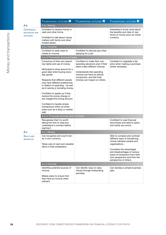|                                        | FOUNDATIONAL OUTCOME <sup>0</sup>                                                                                                        | FOUNDATIONAL OUTCOME <sup>2</sup>                                                                | <b>FOUNDATIONAL OUTCOME 8</b>                                                                                                                         |  |  |
|----------------------------------------|------------------------------------------------------------------------------------------------------------------------------------------|--------------------------------------------------------------------------------------------------|-------------------------------------------------------------------------------------------------------------------------------------------------------|--|--|
| A.b                                    | A.b.i Money                                                                                                                              |                                                                                                  |                                                                                                                                                       |  |  |
| CONFIDENCE,<br><b>MOTIVATION AND</b>   | Confident to receive money in<br>cash and other forms.                                                                                   |                                                                                                  | Interested to know more about<br>the benefits and risks of new<br>forms of money such as virtual                                                      |  |  |
| <b>ATTITUDES</b>                       | Confident to talk about money<br>matters with family and other<br>trusted adults.                                                        |                                                                                                  | currency.                                                                                                                                             |  |  |
|                                        | A.b.ii Income                                                                                                                            |                                                                                                  |                                                                                                                                                       |  |  |
|                                        | Confident to seek ways to<br>create an income.                                                                                           | Confident to discuss pay when<br>applying for a job.                                             |                                                                                                                                                       |  |  |
|                                        | A.b.iii Payments and purchases                                                                                                           |                                                                                                  |                                                                                                                                                       |  |  |
|                                        | Conscious of their own spend-<br>ing habits and use of money.                                                                            | Confident to make their own<br>spending decisions even if their<br>peers make different choices. | Confident to negotiate a fair<br>price when making a purchase<br>where necessary.                                                                     |  |  |
|                                        | Motivated to shop around for a<br>good deal when buying every-<br>day goods.                                                             | Understands that spending<br>choices can have an ethical                                         |                                                                                                                                                       |  |  |
|                                        | Respects that different people<br>may have different preferences<br>in relation to spending - as well<br>as to saving or donating money. | component, and that their<br>choices can impact on others.                                       |                                                                                                                                                       |  |  |
|                                        | Confident to speak up if they<br>receive the wrong change or<br>are charged the wrong amount.                                            |                                                                                                  |                                                                                                                                                       |  |  |
|                                        | Confident to handle simple<br>transactions within an enter-<br>prise such as a shop or market<br>stall.                                  |                                                                                                  |                                                                                                                                                       |  |  |
|                                        | A.b.iv Financial records and contracts                                                                                                   |                                                                                                  |                                                                                                                                                       |  |  |
|                                        | Recognises that it is worth<br>taking the time to read and<br>understand a contract before<br>signing it.                                |                                                                                                  | Confident to read financial<br>documents and seek to query<br>and rectify any errors.                                                                 |  |  |
| A.c                                    | A.c.i Money                                                                                                                              |                                                                                                  |                                                                                                                                                       |  |  |
| <b>S</b> KILLS AND<br><b>BEHAVIOUR</b> | Can recognise and count mon-<br>ey in own currency.<br>Takes care of cash and valuable                                                   |                                                                                                  | Able to compare and contrast<br>different ways of transferring<br>money between people and<br>organisations.                                          |  |  |
|                                        | items in their possession.                                                                                                               |                                                                                                  | Considers the advantages<br>and disadvantages of various<br>types of transaction from their<br>own perspective and from the<br>perspective of others. |  |  |
|                                        | A.c.ii Income                                                                                                                            |                                                                                                  |                                                                                                                                                       |  |  |
|                                        | Identifies potential sources of<br>income.                                                                                               | Can identify ways to raise<br>money through enterprising<br>activities.                          | Can develop a simple business<br>plan.                                                                                                                |  |  |
|                                        | Makes plans to ensure that<br>they have an income when<br>relevant.                                                                      |                                                                                                  |                                                                                                                                                       |  |  |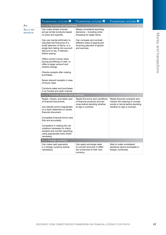|                                        | FOUNDATIONAL OUTCOME <sup>0</sup>                                                                                                                                                      | FOUNDATIONAL OUTCOME <sup>2</sup>                                                                                        | <b>FOUNDATIONAL OUTCOME 8</b>                                                                    |  |  |
|----------------------------------------|----------------------------------------------------------------------------------------------------------------------------------------------------------------------------------------|--------------------------------------------------------------------------------------------------------------------------|--------------------------------------------------------------------------------------------------|--|--|
| A.c                                    | A.c.iii Payments and purchases                                                                                                                                                         |                                                                                                                          |                                                                                                  |  |  |
| <b>S</b> KILLS AND<br><b>BEHAVIOUR</b> | Can make simple choices<br>across similar products based<br>on price and quantity.                                                                                                     | Makes considered spending<br>decisions – including when<br>shopping for larger items.                                    |                                                                                                  |  |  |
|                                        | Can use mental arithmetic to<br>calculate the final price of a<br>small selection of items, or a<br>single item taking into account<br>discount or tax, if relevant,<br>before paying. | Can compare and contrast<br>different ways of paying and<br>receiving payment of goods<br>and services.                  |                                                                                                  |  |  |
|                                        | Offers correct money when<br>buying something in cash, or<br>offers a larger amount and<br>checks change.                                                                              |                                                                                                                          |                                                                                                  |  |  |
|                                        | Checks receipts after making<br>purchases.                                                                                                                                             |                                                                                                                          |                                                                                                  |  |  |
|                                        | Saves relevant receipts in case<br>of future need.                                                                                                                                     |                                                                                                                          |                                                                                                  |  |  |
|                                        | Conducts sales and purchases<br>in an honest and open manner.                                                                                                                          |                                                                                                                          |                                                                                                  |  |  |
|                                        | A.c.iv Financial records and contracts                                                                                                                                                 |                                                                                                                          |                                                                                                  |  |  |
|                                        | Reads, checks, and takes care<br>of financial documents.                                                                                                                               | Reads the terms and conditions<br>of financial products and ser-<br>vices before deciding whether<br>to sign a contract. | Reads financial contracts and<br>checks the meaning of unclear<br>words or terms before deciding |  |  |
|                                        | Can identify some irregularities<br>on a bank statement or similar<br>financial document.                                                                                              |                                                                                                                          | whether to sign a contract.                                                                      |  |  |
|                                        | Completes financial forms care-<br>fully and accurately.                                                                                                                               |                                                                                                                          |                                                                                                  |  |  |
|                                        | Competent in making the cal-<br>culations necessary to check<br>receipts and monitor spending,<br>using appropriate tools where<br>necessary.                                          |                                                                                                                          |                                                                                                  |  |  |
|                                        | A.c.v Foreign currency                                                                                                                                                                 |                                                                                                                          |                                                                                                  |  |  |
|                                        | Can make cash payments<br>in a foreign currency [where<br>necessary].                                                                                                                  | Can apply exchange rates<br>to convert amounts in differ-<br>ent currencies to their own<br>currency.                    | Able to make considered<br>decisions about purchases in<br>foreign currencies.                   |  |  |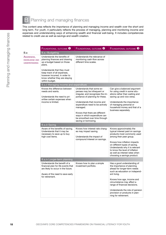<span id="page-17-0"></span>

This content area reflects the importance of planning and managing income and wealth over the short and long term. For youth, it particularly reflects the process of managing, planning and monitoring income and expenses and understanding ways of enhancing wealth and financial well-being. It includes competencies related to credit use as well as savings and wealth creation.

|                                                            | <b>FOUNDATIONAL OUTCOME O</b>                                                                                                                 | FOUNDATIONAL OUTCOME <sup>2</sup>                                                                                                                                                                  | FOUNDATIONAL OUTCOME <sup>S</sup>                                                                                                                                                                                                                                                           |  |  |
|------------------------------------------------------------|-----------------------------------------------------------------------------------------------------------------------------------------------|----------------------------------------------------------------------------------------------------------------------------------------------------------------------------------------------------|---------------------------------------------------------------------------------------------------------------------------------------------------------------------------------------------------------------------------------------------------------------------------------------------|--|--|
| B.a                                                        | B.a.i Budgeting                                                                                                                               |                                                                                                                                                                                                    |                                                                                                                                                                                                                                                                                             |  |  |
| AWARENESS,<br><b>KNOWLEDGE AND</b><br><b>UNDERSTANDING</b> | Understands the benefits of<br>planning finances and drawing<br>up a budget based on those<br>plans.                                          | Understands the relevance of<br>monitoring cash-flow across<br>different time scales.                                                                                                              |                                                                                                                                                                                                                                                                                             |  |  |
|                                                            | Understands that they must<br>keep track of all expenses,<br>however incurred, in order to<br>know whether they are staying<br>within budget. |                                                                                                                                                                                                    |                                                                                                                                                                                                                                                                                             |  |  |
|                                                            | B.a.ii Managing income and expenditure                                                                                                        |                                                                                                                                                                                                    |                                                                                                                                                                                                                                                                                             |  |  |
|                                                            | Knows the difference between<br>needs and wants.<br>Understands the need to pri-<br>oritise certain expenses when<br>income is limited.       | Understands that some ex-<br>penses may be infrequent or<br>irregular, and recognises the im-<br>portance of planning for these.<br>Understands that income and<br>expenditure need to be actively | Can give a balanced argument<br>for using credit in some situ-<br>ations rather than waiting and<br>saving up and vice versa.<br>Understands the importance<br>of managing personal or                                                                                                      |  |  |
|                                                            |                                                                                                                                               | managed.<br>Knows that there are different<br>ways in which expenditure can<br>be smoothed over time through<br>saving or borrowing.                                                               | household money and that of a<br>business separately.                                                                                                                                                                                                                                       |  |  |
|                                                            | <b>B.a.iii Saving</b>                                                                                                                         |                                                                                                                                                                                                    |                                                                                                                                                                                                                                                                                             |  |  |
|                                                            | Aware of the benefits of saving.<br>Understands that it may be<br>necessary to save up to buy<br>high cost items.                             | Knows how interest rate chang-<br>es may impact saving.<br>Understands the impact of<br>compound interest on savings.                                                                              | Knows approximately the<br>typical interest paid on savings<br>products most commonly used<br>among their peer group.<br>Knows how inflation impacts<br>on different types of saving.<br>Understands why it is relevant<br>to know the level of inflation<br>as well as interest rates when |  |  |
|                                                            |                                                                                                                                               |                                                                                                                                                                                                    | choosing a savings product.                                                                                                                                                                                                                                                                 |  |  |
|                                                            | B.a.iv Longer-term planning                                                                                                                   |                                                                                                                                                                                                    |                                                                                                                                                                                                                                                                                             |  |  |
|                                                            | Understands the benefit of a<br>financial plan for life events that<br>are likely to occur in the future.<br>Aware of the need to save early  | Knows how to plan a simple<br>investment portfolio.                                                                                                                                                | Has a good understanding of<br>the importance of planning<br>ahead for longer-term needs<br>such as education or independ-<br>ent living.                                                                                                                                                   |  |  |
|                                                            | for retirement.                                                                                                                               |                                                                                                                                                                                                    | Knows how age, income and<br>circumstance may affect a<br>range of financial decisions.<br>Understands the role of pension<br>provision or products in plan-<br>ning for retirement.                                                                                                        |  |  |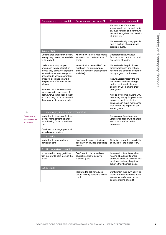|                                                          | <b>FOUNDATIONAL OUTCOME O</b>                                                                                                                                 | FOUNDATIONAL OUTCOME <sup>2</sup>                                                                               | <b>FOUNDATIONAL OUTCOME O</b>                                                                                                                                                     |
|----------------------------------------------------------|---------------------------------------------------------------------------------------------------------------------------------------------------------------|-----------------------------------------------------------------------------------------------------------------|-----------------------------------------------------------------------------------------------------------------------------------------------------------------------------------|
|                                                          |                                                                                                                                                               |                                                                                                                 | Knows some of the ways in<br>which wealth can be built for in-<br>dividual, families and communi-<br>ties and recognises the benefits<br>of doing so.                             |
|                                                          |                                                                                                                                                               |                                                                                                                 | Understands why many people<br>hold a mixture of savings and<br>credit products.                                                                                                  |
|                                                          | <b>B.a.v Credit</b>                                                                                                                                           |                                                                                                                 |                                                                                                                                                                                   |
|                                                          | Understands that if they borrow<br>money they have a responsibili-<br>ty to repay it.                                                                         | Knows how interest rate chang-<br>es may impact certain forms of<br>credit.                                     | Understands how various<br>factors impact on the cost and<br>availability of credit.                                                                                              |
|                                                          | Understands why people<br>often need to pay interest on<br>money they borrow or expect to<br>receive interest on savings; or<br>understands shariah compliant | Knows that schemes like 'hire<br>purchase', or 'buy now pay<br>later' are forms of credit [where<br>available]. | Understands the principle of<br>credit worthiness and [where<br>relevant] the potential benefit of<br>having a good credit score.                                                 |
|                                                          | products designed to avoid<br>the payment of interest where<br>relevant.<br>Aware of the difficulties faced                                                   |                                                                                                                 | Knows approximately the typ-<br>ical interest and fees charged<br>on the credit products most<br>commonly used among their<br>peer group.                                         |
|                                                          | by people with high levels of<br>debt. Knows that goods bought<br>on credit may be repossessed if<br>the repayments are not made.                             |                                                                                                                 | Able to give some reasons why<br>borrowing money for productive<br>purposes, such as starting a<br>business can make more sense<br>than borrowing to pay for con-<br>sumer goods. |
| B.b                                                      | B.b.i Managing income and expenditure                                                                                                                         |                                                                                                                 |                                                                                                                                                                                   |
| CONFIDENCE,<br><b>MOTIVATION AND</b><br><b>ATTITUDES</b> | Motivated to develop effective<br>money management as a tool<br>for achieving financial well-be-<br>ing.                                                      |                                                                                                                 | Remains confident and moti-<br>vated when faced with financial<br>setbacks or unfavourable<br>outcomes.                                                                           |
|                                                          | Confident to manage personal<br>spending and saving.                                                                                                          |                                                                                                                 |                                                                                                                                                                                   |
|                                                          | B.b.ii Saving                                                                                                                                                 |                                                                                                                 |                                                                                                                                                                                   |
|                                                          | Motivated to save-up for a<br>particular item.                                                                                                                | Confident to make a decision<br>about which savings product(s)<br>to use.                                       | Optimistic about the possibility<br>of saving for the longer-term.                                                                                                                |
|                                                          | B.b.iii Longer-term planning                                                                                                                                  |                                                                                                                 |                                                                                                                                                                                   |
|                                                          | Is prepared to delay gratifica-<br>tion in order to gain more in the<br>future.                                                                               | Confident to plan ahead over<br>several months to achieve<br>financial goals.                                   | Interested but cautious when<br>hearing about new financial<br>products, services and financial<br>providers that may help them<br>achieve their financial goals.                 |
|                                                          | <b>B.b.iv Credit</b>                                                                                                                                          |                                                                                                                 |                                                                                                                                                                                   |
|                                                          |                                                                                                                                                               | Motivated to ask for advice<br>before making decisions to use<br>credit.                                        | Confident in their own ability to<br>make informed decisions about<br>access to, and use of, some<br>common forms of credit.                                                      |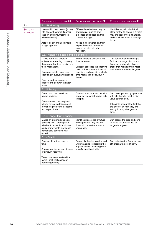|                                       | FOUNDATIONAL OUTCOME <sup>0</sup>                                                                                                                                    | FOUNDATIONAL OUTCOME <sup>2</sup>                                                                                          | FOUNDATIONAL OUTCOME <sup>8</sup>                                                                                                                                   |
|---------------------------------------|----------------------------------------------------------------------------------------------------------------------------------------------------------------------|----------------------------------------------------------------------------------------------------------------------------|---------------------------------------------------------------------------------------------------------------------------------------------------------------------|
| B.c                                   | <b>B.c.i Budgeting</b>                                                                                                                                               |                                                                                                                            |                                                                                                                                                                     |
| <b>SKILLS AND</b><br><b>BEHAVIOUR</b> | Lives within their means [taking<br>into account external financial<br>support and circumstances<br>where relevant].                                                 | Differentiates between regular<br>and irregular income and<br>expenses and based on this<br>creates a budget.              | Identifies ways in which their<br>plans for the following 1-2 years<br>may impact on them financially,<br>and considers ways to manage<br>these.                    |
|                                       | Able to select and use simple<br>budgeting tools.                                                                                                                    | Keeps a close watch on their<br>expenditure and income and<br>makes adjustments when<br>necessary.                         |                                                                                                                                                                     |
|                                       | B.c.ii Managing income and expenditure                                                                                                                               |                                                                                                                            |                                                                                                                                                                     |
|                                       | Thinks about the different<br>options for spending or saving<br>the money that they receive and<br>their implications.                                               | Makes financial decisions in a<br>timely manner.<br>Critically assesses the effective-<br>ness of their previous financial | Can compare across multiple<br>factors in a range of common<br>financial products to choose<br>those that will help them reach<br>their short-term financial goals. |
|                                       | Can successfully avoid over-<br>spending in everyday situations.                                                                                                     | decisions and considers wheth-<br>er to repeat this behaviour in<br>future.                                                |                                                                                                                                                                     |
|                                       | Plans ahead for expenses<br>expected to occur in the near<br>future.                                                                                                 |                                                                                                                            |                                                                                                                                                                     |
|                                       | <b>B.c.iii Saving</b>                                                                                                                                                |                                                                                                                            |                                                                                                                                                                     |
|                                       | Can explain the benefits of<br>having savings.<br>Can calculate how long it will                                                                                     | Can make an informed decision<br>about saving whilst having debt<br>to repay.                                              | Can develop a savings plan that<br>will help them to reach a high<br>value savings goal.                                                                            |
|                                       | take to save a certain amount<br>of money given current income<br>and expenditure.                                                                                   |                                                                                                                            | Takes into account the fact that<br>the price of an item they are<br>saving for may change over<br>time.                                                            |
|                                       | B.c.iv Longer-term planning                                                                                                                                          |                                                                                                                            |                                                                                                                                                                     |
|                                       | Makes an informed decision<br>(possibly with parents) about<br>whether to invest in additional<br>study or move into work once<br>compulsory schooling has<br>ended. | Identifies milestones or future<br>life stages that may require<br>financial preparations from a<br>young age.             | Can assess the pros and cons<br>of some products aimed at<br>longer-term goals.                                                                                     |
|                                       | <b>B.c.v Credit</b>                                                                                                                                                  |                                                                                                                            |                                                                                                                                                                     |
|                                       | Pays anything they owe on<br>time.                                                                                                                                   | Can apply their knowledge and<br>understanding to describe the<br>implications of defaulting on a                          | Can calculate the financial ben-<br>efit of repaying credit early.                                                                                                  |
|                                       | Speaks to a lender early in case<br>of difficulty repaying.                                                                                                          | specific credit obligation.                                                                                                |                                                                                                                                                                     |
|                                       | Takes time to understand the<br>overall cost implications of<br>borrowing money.                                                                                     |                                                                                                                            |                                                                                                                                                                     |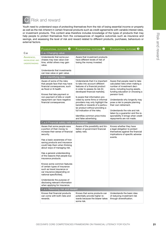<span id="page-20-0"></span>

Youth need to understand ways of protecting themselves from the risk of losing essential income or property as well as the risk inherent in certain financial products such as credit agreements with variable interest rates, or investment products. This content area therefore includes knowledge of the types of products that may help people to protect themselves from the consequences of negative outcomes such as insurance and savings, and assessing the level of risk and reward related to different products, purchases, behaviours or external factors.

| <b>FOUNDATIONAL OUTCOME</b>                                                                                                                                                                                                                                                                                                                                                                                                                                                                    | FOUNDATIONAL OUTCOME <sup>2</sup>                                                                                                                                                                                                                                                                                                                                                           | FOUNDATIONAL OUTCOME <sup>8</sup>                                                                                                                                                                                                                                                                                                                      |
|------------------------------------------------------------------------------------------------------------------------------------------------------------------------------------------------------------------------------------------------------------------------------------------------------------------------------------------------------------------------------------------------------------------------------------------------------------------------------------------------|---------------------------------------------------------------------------------------------------------------------------------------------------------------------------------------------------------------------------------------------------------------------------------------------------------------------------------------------------------------------------------------------|--------------------------------------------------------------------------------------------------------------------------------------------------------------------------------------------------------------------------------------------------------------------------------------------------------------------------------------------------------|
| C.a.i Changing value                                                                                                                                                                                                                                                                                                                                                                                                                                                                           |                                                                                                                                                                                                                                                                                                                                                                                             |                                                                                                                                                                                                                                                                                                                                                        |
| Understands that some pur-<br>chases may lose value over<br>time, whilst others may gain<br>value.                                                                                                                                                                                                                                                                                                                                                                                             | Aware that investment products<br>have different levels of risk of<br>losing the money invested.                                                                                                                                                                                                                                                                                            |                                                                                                                                                                                                                                                                                                                                                        |
| can lose value or gain value.                                                                                                                                                                                                                                                                                                                                                                                                                                                                  |                                                                                                                                                                                                                                                                                                                                                                                             |                                                                                                                                                                                                                                                                                                                                                        |
| C.a.ii Identifying risks                                                                                                                                                                                                                                                                                                                                                                                                                                                                       |                                                                                                                                                                                                                                                                                                                                                                                             |                                                                                                                                                                                                                                                                                                                                                        |
| Aware of some of the risks<br>that people face that may have<br>financial consequences, such<br>as flood or ill-health.<br>Knows that late payment or<br>non-payment of bills or credit<br>repayment can have negative<br>financial consequences.                                                                                                                                                                                                                                              | Understands that it is important<br>to take into account different<br>features of a financial product<br>in order to assess its risk [In<br>developed financial markets].<br>Is aware that information pro-<br>vided by some firms or informal<br>providers may only highlight the<br>benefits or rewards of a particu-<br>lar product without providing a<br>full indication of the risks. | Aware that people need to take<br>calculated risks when making a<br>number of investment deci-<br>sions, including buying assets,<br>funding education or choosing a<br>pension fund.<br>Understands why longevity may<br>pose a risk to people planning<br>their own retirement.<br>Understands the role and risk<br>taken by a guarantor and the re- |
|                                                                                                                                                                                                                                                                                                                                                                                                                                                                                                | and false advertising.                                                                                                                                                                                                                                                                                                                                                                      | sponsibility it brings when credit<br>repayments are not made.                                                                                                                                                                                                                                                                                         |
|                                                                                                                                                                                                                                                                                                                                                                                                                                                                                                |                                                                                                                                                                                                                                                                                                                                                                                             |                                                                                                                                                                                                                                                                                                                                                        |
| a portion of their money to<br>increase their sense of financial<br>security.<br>Has a basic awareness of how<br>saving products and insurance<br>could help them when thinking<br>about ways of managing risk.<br>Has a general understanding<br>of the reasons that people buy<br>insurance products.<br>Knows some common features<br>of certain types of insurance<br>such as travel insurance or<br>car insurance [depending on<br>national specificities].<br>Understands the purpose of | itation of government financial<br>safety nets.                                                                                                                                                                                                                                                                                                                                             | Knows whether they have<br>a legal obligation to protect<br>themselves against the financial<br>implications of specific adverse<br>events.                                                                                                                                                                                                            |
| when applying for insurance.                                                                                                                                                                                                                                                                                                                                                                                                                                                                   |                                                                                                                                                                                                                                                                                                                                                                                             |                                                                                                                                                                                                                                                                                                                                                        |
|                                                                                                                                                                                                                                                                                                                                                                                                                                                                                                |                                                                                                                                                                                                                                                                                                                                                                                             |                                                                                                                                                                                                                                                                                                                                                        |
| can come with both risks and<br>rewards.                                                                                                                                                                                                                                                                                                                                                                                                                                                       | potentially provide higher re-<br>wards because the bearer takes<br>some risk.                                                                                                                                                                                                                                                                                                              | Understands the basic idea<br>of reducing investment risk<br>through diversification.                                                                                                                                                                                                                                                                  |
|                                                                                                                                                                                                                                                                                                                                                                                                                                                                                                | Understands that investments<br>Aware that some people save<br>disclosing relevant information<br>Knows that financial products                                                                                                                                                                                                                                                             | Identifies common price tricks<br>C.a.iii Financial safety nets and insurance<br>Aware of the possibility and lim-<br>C.a.iv Balancing risk and reward<br>Knows that some products can                                                                                                                                                                 |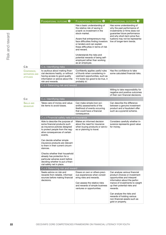|                                                          | <b>FOUNDATIONAL OUTCOME O</b>                                                                                                                                                    | <b>FOUNDATIONAL OUTCOME <sup>2</sup></b>                                                                                                                                                   | <b>FOUNDATIONAL OUTCOME O</b>                                                                                                                                                                                |
|----------------------------------------------------------|----------------------------------------------------------------------------------------------------------------------------------------------------------------------------------|--------------------------------------------------------------------------------------------------------------------------------------------------------------------------------------------|--------------------------------------------------------------------------------------------------------------------------------------------------------------------------------------------------------------|
|                                                          |                                                                                                                                                                                  | Has a basic understanding of<br>the relative risk of saving in<br>a bank vs investment in the<br>stock-market.                                                                             | Has some understanding of<br>why the past performance of<br>investments or firms does not<br>guarantee future performance<br>and why short-term price fluc-                                                  |
|                                                          |                                                                                                                                                                                  | Aware that entrepreneurs may<br>face difficulties finding investors<br>or lenders and can explain<br>these difficulties in terms of risk<br>and reward.                                    | tuations may not be representa-<br>tive of longer-term trends.                                                                                                                                               |
|                                                          |                                                                                                                                                                                  | Understands the risks and<br>potential rewards of being self-<br>employed rather than working<br>as an employee.                                                                           |                                                                                                                                                                                                              |
| C.b                                                      | C.b.i Identifying risks                                                                                                                                                          |                                                                                                                                                                                            |                                                                                                                                                                                                              |
| CONFIDENCE,<br><b>MOTIVATION AND</b><br><b>ATTITUDES</b> | Is cautious about making finan-<br>cial decisions hastily, or without<br>having access to good quality<br>information or advice about the<br>risk and rewards.                   | Confidently applies useful rules<br>of thumb when considering in-<br>vestment opportunities, such as<br>'if it looks too good to be true, it<br>probably is'.                              | Has the confidence to take<br>some calculated financial risks.                                                                                                                                               |
|                                                          | C.b.ii Balancing risk and reward                                                                                                                                                 |                                                                                                                                                                                            |                                                                                                                                                                                                              |
|                                                          |                                                                                                                                                                                  |                                                                                                                                                                                            | Willing to take responsibility for<br>negative and positive outcomes<br>of their own financial decisions.                                                                                                    |
| C.c                                                      | C.c.i Identifying risks                                                                                                                                                          |                                                                                                                                                                                            |                                                                                                                                                                                                              |
| <b>SKILLS AND</b><br><b>BEHAVIOUR</b>                    | Takes care of money and valua-<br>ble items to avoid losses.                                                                                                                     | Can make simple (non-sci-<br>entific) assessments of the<br>likelihood of events occurring<br>that could have a financial<br>consequence.                                                  | Can describe the difference<br>between a genuine investment<br>product and a fraudulent offer<br>such as a pyramid scheme.                                                                                   |
|                                                          | C.c.ii Financial safety nets and insurance                                                                                                                                       |                                                                                                                                                                                            |                                                                                                                                                                                                              |
|                                                          | Able to describe the purpose of<br>some financial products such<br>as insurance policies designed<br>to protect people from the neq-<br>ative consequences of certain<br>events. | Makes an informed decision<br>about the need for insurance<br>when buying products or servic-<br>es or planning to travel.                                                                 | Considers carefully whether in-<br>surance represents good value<br>for money.                                                                                                                               |
|                                                          | Can decide whether simple<br>insurance products are relevant<br>to them in their current circum-<br>stances.                                                                     |                                                                                                                                                                                            |                                                                                                                                                                                                              |
|                                                          | Checks whether their household<br>already has protection for a<br>particular adverse event before<br>deciding whether to put a finan-<br>cial safety net in place.               |                                                                                                                                                                                            |                                                                                                                                                                                                              |
|                                                          | C.c.iii Balancing risk and reward                                                                                                                                                |                                                                                                                                                                                            |                                                                                                                                                                                                              |
|                                                          | Seeks advice on risk and<br>rewards from reliable, informed<br>sources before making financial<br>decisions.                                                                     | Draws on own or others previ-<br>ous experiences when consid-<br>ering risks and rewards.<br>Can assess the relative risks<br>and rewards of simple business<br>ventures or opportunities. | Can analyse various financial<br>product choices or investment<br>opportunities and interpret<br>information about the perfor-<br>mance of investments to weight<br>up their potential risks and<br>rewards. |
|                                                          |                                                                                                                                                                                  |                                                                                                                                                                                            | Can analyse the risks and<br>rewards of holding various<br>non-financial assets such as<br>gold or property.                                                                                                 |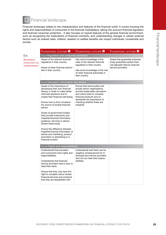<span id="page-22-0"></span>

### Financial landscape

Financial landscape relates to the characteristics and features of the financial world. It covers knowing the rights and responsibilities of consumers in the financial marketplace, taking into account financial regulation and financial consumer protection. It also focuses on typical features of the general financial environment, such as recognising the implications of financial contracts, and understanding changes in certain external factors such as interest rates, inflation, taxation or welfare benefits can impact individuals, households and society.

|                                                            | <b>FOUNDATIONAL OUTCOME O</b>                                                                                                                                                                                                                                                                                                                                                                                                                                                                                                                                              | FOUNDATIONAL OUTCOME <sup>2</sup>                                                                                                                                                                                                   | <b>FOUNDATIONAL OUTCOME 6</b>                                                                                           |  |
|------------------------------------------------------------|----------------------------------------------------------------------------------------------------------------------------------------------------------------------------------------------------------------------------------------------------------------------------------------------------------------------------------------------------------------------------------------------------------------------------------------------------------------------------------------------------------------------------------------------------------------------------|-------------------------------------------------------------------------------------------------------------------------------------------------------------------------------------------------------------------------------------|-------------------------------------------------------------------------------------------------------------------------|--|
| D.a                                                        | D.a.i Regulation and consumer protection                                                                                                                                                                                                                                                                                                                                                                                                                                                                                                                                   |                                                                                                                                                                                                                                     |                                                                                                                         |  |
| AWARENESS,<br><b>KNOWLEDGE AND</b><br><b>UNDERSTANDING</b> | Aware of the relevant financial<br>regulators in their country.<br>Aware of other financial authori-<br>ties in their country.                                                                                                                                                                                                                                                                                                                                                                                                                                             | Has some knowledge of the<br>roles of the relevant financial<br>regulators in their country.<br>Has some knowledge of the role<br>of other financial authorities in<br>their country.                                               | Aware that guarantee schemes<br>(may) guarantee certain finan-<br>cial deposits held by financial<br>service providers. |  |
|                                                            | D.a.ii Education, information and advice                                                                                                                                                                                                                                                                                                                                                                                                                                                                                                                                   |                                                                                                                                                                                                                                     |                                                                                                                         |  |
|                                                            | Aware of the importance of<br>developing their own financial<br>literacy in order to make better<br>informed decisions and in-<br>crease their financial well-being.<br>Knows how to find a trustwor-<br>thy source of simple financial<br>advice.<br>Aware of government bodies<br>that provide trustworthy and<br>impartial financial information,<br>guidance, services or advice<br>[where these exist].<br>Knows the difference between<br>impartial financial information or<br>advice and marketing, product<br>promotion or advertising in a<br>financial context. | Knows that some public and<br>private sector organisations<br>provide readymade calculators<br>and online tools to compare<br>financial products and un-<br>derstands the importance of<br>checking whether these are<br>impartial. |                                                                                                                         |  |
|                                                            | D.a.iii Rights and responsibilities                                                                                                                                                                                                                                                                                                                                                                                                                                                                                                                                        |                                                                                                                                                                                                                                     |                                                                                                                         |  |
|                                                            | Understands that providers<br>and consumers have rights and<br>responsibilities.<br>Understands that financial<br>service providers have a duty to<br>treat them fairly.<br>Knows that they may have the<br>right to complain about certain<br>financial services and products<br>that they are dissatisfied with.                                                                                                                                                                                                                                                         | Understands that there can be<br>negative consequences for in-<br>dividuals and service providers<br>who do not meet their respon-<br>sibilities.                                                                                   |                                                                                                                         |  |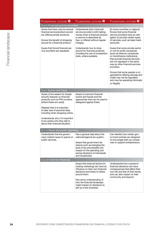| <b>FOUNDATIONAL OUTCOME O</b>                                                                                                                                                                                                                                                                                                              | <b>FOUNDATIONAL OUTCOME <sup>2</sup></b>                                                                                                                                                                                                                                      | <b>FOUNDATIONAL OUTCOME O</b>                                                                                                                                                                                                                                                                                                                                                                              |
|--------------------------------------------------------------------------------------------------------------------------------------------------------------------------------------------------------------------------------------------------------------------------------------------------------------------------------------------|-------------------------------------------------------------------------------------------------------------------------------------------------------------------------------------------------------------------------------------------------------------------------------|------------------------------------------------------------------------------------------------------------------------------------------------------------------------------------------------------------------------------------------------------------------------------------------------------------------------------------------------------------------------------------------------------------|
| D.a.iv Financial service providers                                                                                                                                                                                                                                                                                                         |                                                                                                                                                                                                                                                                               |                                                                                                                                                                                                                                                                                                                                                                                                            |
| Aware that there may be several<br>financial service/product provid-<br>ers offering similar products.<br>Knows the benefit of shopping<br>around for a financial product.                                                                                                                                                                 | Understands that a financial<br>service provider is still making<br>money when a financial product<br>or service is described as<br>free, or offered without regular<br>charges.                                                                                              | [In some countries or regions]<br>Knows that some financial<br>service providers have an obli-<br>gation to provide certain types<br>of services, such as basic bank<br>accounts.                                                                                                                                                                                                                          |
| Aware that formal financial ser-<br>vice providers are regulated.                                                                                                                                                                                                                                                                          | Understands how to shop<br>around for financial products,<br>including the use of comparison<br>tools, where available.                                                                                                                                                       | Aware that some private sector<br>or not-for-profit companies<br>(such as telecom companies<br>or microfinance institutions)<br>that provide financial services<br>are not regulated in the same<br>way as other financial services<br>providers.<br>Knows that some people or or-<br>ganisations offering savings and<br>credit may not be regulated,<br>and may be operating informally<br>or illegally. |
| D.a.v Scams and fraud                                                                                                                                                                                                                                                                                                                      |                                                                                                                                                                                                                                                                               |                                                                                                                                                                                                                                                                                                                                                                                                            |
| Aware of the reason for simple<br>security features on financial<br>products such as PIN numbers<br>[where these are used].<br>Realises that it is important<br>to take care of personal data,<br>including when shopping online.<br>Understands why it is important<br>to be careful who they talk to<br>about their financial situation. | Aware of common financial<br>scams and frauds and the<br>approaches that can be used to<br>safeguard against these.                                                                                                                                                           |                                                                                                                                                                                                                                                                                                                                                                                                            |
| D.1.vi Taxes and public spending                                                                                                                                                                                                                                                                                                           |                                                                                                                                                                                                                                                                               |                                                                                                                                                                                                                                                                                                                                                                                                            |
| Understands that the govern-<br>ment collects taxes to spend on<br>public services.                                                                                                                                                                                                                                                        | Has a general idea about the<br>national/regional tax system.<br>Aware that government de-<br>cisions such as changing the<br>level of tax and benefits can<br>impact on the spending and<br>saving decisions of individuals<br>and households.                               | Can identify how certain gov-<br>ernment policies are designed<br>to encourage start-up compa-<br>nies or support entrepreneurs.                                                                                                                                                                                                                                                                           |
| D.a.vii External influences                                                                                                                                                                                                                                                                                                                |                                                                                                                                                                                                                                                                               |                                                                                                                                                                                                                                                                                                                                                                                                            |
|                                                                                                                                                                                                                                                                                                                                            | Aware that external factors (in-<br>cluding marketing) can have an<br>influence on their own financial<br>decisions and those of others<br>around them.<br>Has some understanding of<br>how the financial landscape<br>might impact on decisions to<br>set up a new business. | Understands how a person's<br>financial decisions can have<br>consequences that affect their<br>own life and that of their family,<br>and can also impact on their<br>community and beyond.                                                                                                                                                                                                                |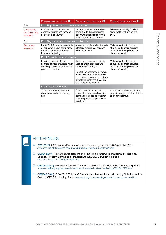<span id="page-24-0"></span>

|                                                          | <b>FOUNDATIONAL OUTCOME O</b>                                                                                                | FOUNDATIONAL OUTCOME <sup>2</sup>                                                                                                                                                                                                                                 | <b>FOUNDATIONAL OUTCOME 8</b>                                                                                     |  |  |
|----------------------------------------------------------|------------------------------------------------------------------------------------------------------------------------------|-------------------------------------------------------------------------------------------------------------------------------------------------------------------------------------------------------------------------------------------------------------------|-------------------------------------------------------------------------------------------------------------------|--|--|
| D.b                                                      | D.b.i Regulation and consumer protection                                                                                     |                                                                                                                                                                                                                                                                   |                                                                                                                   |  |  |
| CONFIDENCE.<br><b>MOTIVATION AND</b><br><b>ATTITUDES</b> | Confident and motivated to<br>apply their rights and responsi-<br>bilities as a consumer.                                    | Has the confidence to make a<br>complaint to the appropriate<br>body when dissatisfied with a<br>financial product or service.                                                                                                                                    | Takes responsibility for deci-<br>sions that they have control<br>over.                                           |  |  |
| D.c                                                      | D.c.i Regulation and consumer protection                                                                                     |                                                                                                                                                                                                                                                                   |                                                                                                                   |  |  |
| <b>SKILLS AND</b><br><b>BEHAVIOUR</b>                    | Looks for information on wheth-<br>er consumers have complained<br>about products that they are<br>interested in taking out. | Makes a complaint about unsat-<br>isfactory products or services<br>when necessary.                                                                                                                                                                               | Makes an effort to find out<br>about new financial services<br>or products being offered or<br>discussed locally. |  |  |
|                                                          | D.c.ii Financial service providers                                                                                           |                                                                                                                                                                                                                                                                   |                                                                                                                   |  |  |
|                                                          | Identifies potential formal<br>financial service providers when<br>deciding to take out a financial<br>product or service.   | Takes time to research widely<br>used financial products and<br>services before buying.<br>Can tell the difference between<br>information from their financial<br>provider and general promotion-<br>al material sent from the same<br>provider [where relevant]. | Makes an effort to find out<br>about new financial services<br>or products being offered or<br>discussed locally. |  |  |
|                                                          | D.c.iii Scams and fraud                                                                                                      |                                                                                                                                                                                                                                                                   |                                                                                                                   |  |  |
|                                                          | Takes care to keep personal<br>data, passwords and money<br>safe.                                                            | Can assess requests that<br>appear to come from financial<br>companies, to decide whether<br>they are genuine or potentially<br>fraudulent.                                                                                                                       | Acts to resolve issues and im-<br>pacts if become a victim of data<br>and financial fraud.                        |  |  |

Financial landscape Financial landscape

### **REFERENCES**

- G20 (2013), G20 Leaders Declaration, Saint Petersburg Summit, 5-6 September 2013 www.oecd.org/g20/meetings/saint-petersburg/Saint-Petersburg-Declaration.pdf
- OECD (2013), PISA 2012 Assessment and Analytical Framework: Mathematics, Reading, Science, Problem Solving and Financial Literacy, OECD Publishing, Paris http://dx.doi.org/10.1787/9789264190511-en
- OECD (2014a), Financial Education for Youth. The Role of Schools. OECD Publishing, Paris www.oecd-ilibrary.org/finance-and-investment/financial-education-in-schools\_9789264174825-en
- OECD (2014b), PISA 2012, Volume VI Students and Money: Financial Literacy Skills for the 21st Century, OECD Publishing, Paris. www.oecd.org/pisa/keyfindings/pisa-2012-results-volume-vi.htm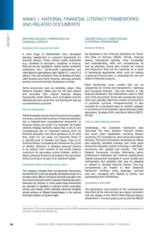### <span id="page-25-0"></span>ANNEX 1: NATIONAL FINANCIAL LITERACY FRAMEWORKS AND RELATED DOCUMENTS

### Mapping national frameworks on financial literacy

### Examples from around the world

A wide range of stakeholders have developed learning, assessment or outcome frameworks for financial literacy. These include public authorities (e.g. ministries of education, ministries of finance, financial service regulators, central banks, academic institutions, etc.), not-for-profit organisations and international organisations (see Tables A1.1 and A1.2 below). They are available in Asia, Australasia, Europe, Latin America and North America, although primarily among more economically developed countries.

Some economies, such as Australia, Japan, New Zealand, Sweden, Wales and the US have refined and amended their original financial literacy frameworks whilst others, such as England and the Netherlands have more than one framework serving complementary purposes.

### Not yet widespread

Whilst examples can be drawn from around the globe, not every country that is active in financial education has a national-level competencies framework on financial literacy for youth. For example, the Indian national strategy explicitly states that a set of core competencies are an important starting point for financial education and gives guidance as to what they might be, but does not prescribe these at a national level. In Sweden and Spain, there is no financial literacy competencies framework (for youth or adults). However, in Sweden personal finance is an explicit core content of the social science curriculum for secondary school children, whilst in Spain, personal finance is included in the secondary school curriculum as part of an optional subject.

#### Developed within a broader policy effort

The mapping indicates that competencies frameworks frameworks for youth are typically developed as part of a broader policy effort to introduce financial education into the school curriculum and/or develop financial education resources for schools. In most cases these frameworks are devoted to students in primary and/or secondary school, and specify which learning outcomes students should achieve at different levels/stages in the national education system, or at given ages.

### Descriptions of competencies In national frameworks

### Common themes

As illustrated in the Financial Education for Youth: The Role of Schools (OECD, 2014a), financial literacy frameworks typically cover knowledge and understanding, skills and competencies as well as attitudes. Some also include the actions and behaviours that will be improved as a result of developing appropriate skills, such as making a personal financial plan or assessing the risk and yields of financial products.

Most frameworks cover content that can be categorised as 'money and transactions', 'planning and managing finances', 'risk and reward' or 'the financial landscape' (the descriptions used in PISA and in this document). Some also incorporate topics that more typically reflect the content of economics or business curricula. Entrepreneurship is also included as a framework area or content category in countries such as Australia, Japan (through career education), Scotland (UK), and South Africa (OECD, 2014a).

#### Links to other learning domains

Interestingly, the Australian framework also discusses the links between financial literacy and seven other capabilities, including literacy, numeracy, ICT competence, and critical and creative thinking. The Dutch framework developed by Nibud also explicitly identifies overlaps with other goals across the education system including in arithmetic, economics and 'people and society'. The New Zealand framework includes information about achievement objectives and national qualifications related assessment standards in social studies and mathematics and statistics that may be adapted or utilised to develop financial literacy. Five key competencies are implicit to New Zealand's framework: thinking, using language, symbols and text, managing self, relating to others, and participating and contributing.

#### Consistency with PISA

The description and content of the competencies described at the national level are largely consistent with the design of the OECD PISA financial literacy assessment.4 In some cases, such as with the NIBUD

4 See Annex 2 for more detailed discussion of the PISA assessment framework and its application to the development of this core competencies framework.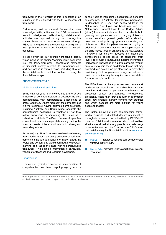<span id="page-26-0"></span>framework in the Netherlands this is because of an explicit aim to be aligned with the PISA assessment framework.

Furthermore, just as national frameworks cover knowledge, skills, attitudes, the PISA assessment tests knowledge and skills directly, whilst certain attitudes are captured through a non-cognitive survey. Behaviour is not directly assessed through PISA, but the questions are specifically designed to test application of skills and knowledge in realistic scenarios.

In keeping with the PISA definition of financial literacy which includes the phrase 'participation in economic life', the PISA framework incorporates elements of financial literacy relevant to entrepreneurship and economics in various ways, including through the societal context and the content covering the financial landscape.

### Presentation style

### Multi-dimensional descriptions

Some national youth frameworks use a one or two dimensional conceptualisation to describe the core competencies, with competencies either listed or cross-tabulated. Others represent the competencies in a more complex way: for example some countries, including Australia and South Africa, separate the competencies according to whether or not they reflect knowledge or something else, such as a behaviour or attitude. The Czech framework specifies content and outcomes separately, clearly stating the intended results of the education at both primary and secondary school.

As the majority of the documents analysed are learning frameworks rather than being outcome-based, they sometimes include additional information about the topics and content that would contribute to a certain learning goal, as is the case with the Portuguese framework. This detailed information is particularly valuable for teachers and resource developers.

### **Progressions**

Frameworks typically discuss the accumulation of competencies over time, mapping age groups or

school years to increasingly sophisticated concepts or outcomes. In Australia, for example, progression is described in 2 year age bands whilst in the Netherlands 3 or 4 year age bands are used. The Netherlands' National Institute for Budget Advice (Nibud) framework indicates that this reflects both growing competencies and changing interests. Japan describes general goals before showing how they develop through primary, secondary and high school. The Jump\$tart framework highlights additional expectations across core topic areas as the child moves through grades and the New Zealand framework for children focuses on developing competencies across levels of schooling, from level 1 to 8. Some frameworks indicate incremental increases in knowledge of a particular topic through time, whilst others focus on different topics that may be introduced as children get older and improve their proficiency. Both approaches recognise that some basic information may be required as a foundation for more complex notions.

The PISA financial literacy assessment framework works across three dimensions, and each assessment question addresses a particular combination of processes, content and contexts. The described proficiency scale then provides further information about how financial literacy learning may progress and which aspects are more difficult for young people to master.

The tables below list core competencies frameworks, curricula and related documents identified through desk research or submitted by OECD/INFE members.5 Additional information about national level initiatives aimed at young people in a wide range of countries can also be found on the OECD International Gateway for Financial Education (www.financial-education.org).

- $\blacksquare$  TABLE A1.1 relates to national core competencies frameworks for youth.
- TABLE A1.2 provides links to additional, relevant resources.

<sup>5</sup>It is important to note that whilst the competencies covered in these documents are largely relevant in an international context, some of the content is specific to national circumstances.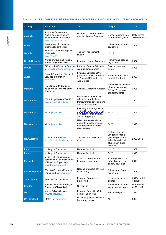### <span id="page-27-0"></span>Table A1.1 Core competencies frameworks and curricula on financial literacy for youth

| Country                | Institution                                                                                                   | <b>Title</b>                                                                                            | <b>Target</b>                                                                                                         | Year                           |
|------------------------|---------------------------------------------------------------------------------------------------------------|---------------------------------------------------------------------------------------------------------|-----------------------------------------------------------------------------------------------------------------------|--------------------------------|
| <b>Australia</b>       | Australian Government/<br>Australian Securities and<br><b>Investments Commission</b><br>www.curriculum.edu.au | National Consumer and Fi-<br>nancial Literacy Framework                                                 | School students from<br>foundation to year 10                                                                         | 2005, revised<br>2009 and 2011 |
| <b>Brazil</b>          | Department of Education +<br>other public authorities                                                         |                                                                                                         | Primary and second-<br>ary school                                                                                     | 2009                           |
| Canada                 | <b>Financial Consumer Agency</b><br>of Canada<br>www.mfcr.cz                                                  | The City: Assessment<br>Rubric                                                                          | $15 - 18$                                                                                                             |                                |
| <b>Czech Republic</b>  | Working Group on Financial<br>Education (led by MoF)                                                          | <b>Financial Literacy Standards</b>                                                                     | Primary and second-<br>ary school                                                                                     | 2007                           |
| <b>Ireland</b>         | Office of the Financial Regula-<br>tor www.financialeducation.ie                                              | Personal Finance Education.<br>A curriculum mapping                                                     | Post-primary stu-<br>dents                                                                                            | 2008                           |
| Japan                  | <b>Central Council for Financial</b><br>Services Information<br>www.shiruporuto.jp                            | <b>Financial Education Pro-</b><br>gram in Schools, Contents<br>of Financial Education by<br>Age Groups | Students from prima-<br>ry to high school                                                                             | 2007                           |
| <b>Malaysia</b>        | Bank Negara Malaysia, in<br>collaboration with Ministry of<br>Education                                       | <b>Financial Literacy Standards</b>                                                                     | Primary (7 to 12 years<br>old) and secondary<br>(13 to 17 years old)<br>school students                               | 2006                           |
| <b>Netherlands</b>     | Wijzer in geldzaken/CentiQ <sup>a</sup><br>www.wijzeringeldzaken.nl                                           | Basic Vision on financial<br>education: curriculum<br>framework for development<br>and implementation   | $1 - 18$                                                                                                              | 2009                           |
| <b>Netherlands</b>     | Nibud   www.nibud.nl                                                                                          | Learning to Manage Money<br>- Nibud learning goals and<br>competences for children<br>and young people  | $6 - 23$                                                                                                              | 2009                           |
| <b>Netherlands</b>     | Nibud   www.nibud.nl                                                                                          | Nibud learning goals and<br>competences for children<br>and adolescents; 2nd re-<br>vised edition.      | $6 - 17$                                                                                                              | 2013                           |
| <b>New Zealand</b>     | Ministry of Education<br>http://nzcurriculum.tki.org.nz                                                       | The New Zealand Curric-<br>ulum                                                                         | All English-medi-<br>um state schools<br>(including integrated<br>schools) and to all<br>students in those<br>schools | 2009/2013                      |
| Peru                   | Ministry of Education                                                                                         | <b>National Curriculum</b>                                                                              | 12-17                                                                                                                 | 2009                           |
| Peru                   | Ministry of Education                                                                                         | <b>National Curriculum</b>                                                                              | $3 - 17$                                                                                                              | 2015                           |
| Portugal               | Ministry of Education and<br>Science and National Council<br>of Financial Supervisors<br>www.todoscontam.pt   | Core competencies for<br><b>Financial Education</b>                                                     | Kindergarten, basic<br>education and sec-<br>ondary education                                                         | 2013                           |
| <b>Slovak Republic</b> | Working Group on Financial<br>Education   www.minedu.sk                                                       | National Standard of Finan-<br>cial Literacy                                                            | Primary and Second-<br>ary school                                                                                     | 2008                           |
| <b>South Africa</b>    | <b>Financial Services Board</b>                                                                               | <b>Financial Competency</b><br>Framework                                                                | All ages (including<br>adults)                                                                                        | 2013/ Updat-<br>ed 2014        |
| <b>Sweden</b>          | Swedish National Agency for<br>Education (Skolverket)                                                         | Curriculum                                                                                              | Primary and second-<br>ary school students                                                                            | Updated as<br>of 2011-12       |
| <b>UK</b>              | Money Advice Service<br>www.fincap.org.uk                                                                     | <b>Financial Capability Out-</b><br>come Frameworks                                                     | Adults and youth                                                                                                      | 2014                           |
| <b>UK - England</b>    | Ofsted   www.bcs.org                                                                                          | Developing financially capa-<br>ble young people                                                        | 16                                                                                                                    | 2008                           |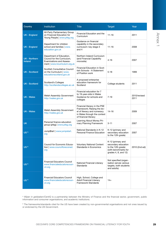| Country                                | Institution                                                                                                                  | <b>Title</b>                                                                                                                                         | <b>Target</b>                                                                                                       | Year                 |
|----------------------------------------|------------------------------------------------------------------------------------------------------------------------------|------------------------------------------------------------------------------------------------------------------------------------------------------|---------------------------------------------------------------------------------------------------------------------|----------------------|
| <b>UK - England</b>                    | All-Party Parliamentary Group<br>on Financial Education for<br>Young People   www.pfeg.org                                   | Financial Education and the<br>Curriculum                                                                                                            | $11 - 16$                                                                                                           | 2011                 |
| <b>UK - England</b>                    | Department for children<br>school and families   www.<br>education.gov.uk                                                    | Guidance on financial<br>capability in the secondary<br>curriculum: key stage 3<br>and 4                                                             | $11 - 16$                                                                                                           | 2008                 |
| <b>UK - Northern</b><br><b>Ireland</b> | Department of Education,<br>Council for the Curriculum,<br><b>Examinations and Assess-</b><br>ment   www.nicurriculum.org.uk | Northern Ireland Curriculum<br>(and Financial Capability<br>microsite)                                                                               | $4 - 16$                                                                                                            | 2007                 |
| <b>UK - Scotland</b>                   | Scottish Consultative Council<br>on the Curriculum   www.<br>educationscotland.gov.uk                                        | Financial Education in Scot-<br>tish Schools - A Statement<br>of Position work                                                                       | $5 - 18$                                                                                                            | 1999                 |
| <b>UK</b> - Scotland                   | Scotland's Colleges<br>http://scotlandscolleges.ac.uk                                                                        | A proposed enterprise<br>education framework for<br>Scotland                                                                                         | College students                                                                                                    | 2011                 |
| <b>UK - Wales</b>                      | Welsh Assembly Government<br>http://wales.gov.uk                                                                             | Financial education for 7<br>to 19-year-olds in Wales<br>Guidance for schools and<br>colleges                                                        | $7 - 19$                                                                                                            | 2010/revised<br>2011 |
| <b>UK - Wales</b>                      | Welsh Assembly Government<br>http://wales.gov.uk                                                                             | Financial literacy in the PSE<br>Framework; Raising the lev-<br>el of literacy and numeracy<br>in Wales through the context<br>of financial literacy | $14 - 16$                                                                                                           | 2009                 |
| <b>UK</b>                              | Personal finance education<br>group (pfeg)   www.pfeg.org                                                                    | Learning About Money Pri-<br>mary Planning Framework                                                                                                 | $3 - 11$                                                                                                            | 2007                 |
| US <sup>b</sup>                        | Jump\$tart   www.jumpstart.<br>org                                                                                           | National Standards in K-12<br><b>Personal Finance Education</b>                                                                                      | K-12 (primary and<br>secondary education<br>to the 12th grade)                                                      | 2007                 |
| US <sup>b</sup>                        | Council for Economic Educa-<br>tion   www.councilforeconed.<br>org                                                           | <b>Voluntary National Content</b><br>Standards in Economics                                                                                          | K-12 (primary and<br>secondary education<br>to the 12th grade)<br>(with benchmarks for<br>grades $4, 8,$ and $12$ ) | 2010 (2nd ed)        |
| US <sup>b</sup>                        | <b>Financial Educators Council</b><br>www.financialeducatorscoun-<br>cil.org                                                 | National Financial Literacy<br><b>Standards</b>                                                                                                      | Not specified (organ-<br>isation serves various<br>targets, both students<br>and adults)                            |                      |
| US <sup>b</sup>                        | <b>Financial Educators Council</b><br>www.financialeducatorscoun-<br>cil.org                                                 | High, School, College and<br><b>Adult Financial Literacy</b><br>Framework Standards                                                                  | $14+$                                                                                                               |                      |

<sup>a</sup> Wijzer in geldzaken/CentiQ is a partnership between the Ministry of Finance and the financial sector, government, public information and consumer organisations, and academic institutions.

b The frameworks/standards cited for the US have been created by non-governmental organisations and not ones issued by or endorsed by the US Government.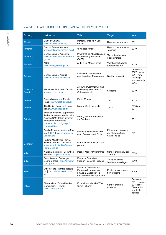### <span id="page-29-0"></span>Table A1.2. Related resources on financial literacy for youth

| Country             | Institution                                                                                                                                                                        | <b>Title</b>                                                                                                  | <b>Target</b>                                              | Year                                                                         |
|---------------------|------------------------------------------------------------------------------------------------------------------------------------------------------------------------------------|---------------------------------------------------------------------------------------------------------------|------------------------------------------------------------|------------------------------------------------------------------------------|
| Albania             | Bank of Albania<br>www.bankofalbania.org                                                                                                                                           | Personal finance in your<br>hands!                                                                            | High school students                                       | 2011                                                                         |
| Armenia             | Central Bank of Armenia<br>www.abcfinance.am/am-pupil                                                                                                                              | "Finances for all"                                                                                            | High school students/<br><b>Teachers</b>                   | 2010                                                                         |
| Argentina           | Central Bank of Argentina<br>www.bancocentraleduca.bcra.<br>gov.ar                                                                                                                 | Programa de Alfabetizacion<br>Economica y Financiera<br>(PAEF)                                                | Youth, teachers and<br>disseminators                       |                                                                              |
| <b>Australia</b>    | <b>ASIC</b><br>www.moneysmart.gov.au                                                                                                                                               | ASIC's Be MoneySmart                                                                                          | Vocational students.<br>apprentices etc                    | 2015                                                                         |
| Austria             | Central Bank of Austria<br>www.oenb.at/finanzwissen                                                                                                                                | Initiative Finanzwissen /<br>new branding: Eurologisch                                                        | Starting at age 6                                          | Developed<br>2007, revised<br>2011, new<br>branding<br>and contents<br>2015  |
| Canada -<br>Ontario | Ministry of Education Ontario<br>www.edu.gov.on.ca                                                                                                                                 | A sound investment. Finan-<br>cial literacy education in<br>Ontario schools                                   | <b>Students</b>                                            | 2010                                                                         |
| <b>Denmark</b>      | Danish Money and Pension<br>Panel   www.raadtilpenge.dk                                                                                                                            | Funny Money                                                                                                   | $13 - 15$                                                  | 2013                                                                         |
| <b>Denmark</b>      | The Danish Bankers Associa-<br>tion   www.pengeuge.dk                                                                                                                              | Money Week materials                                                                                          | $13 - 15$                                                  | 2013 and<br>2014                                                             |
| Estonia             | <b>Estonian Financial Supervision</b><br>Authority, in co-operation with<br>Nasdaq OMX Tallinn Investor<br><b>Education programme</b><br>itunes.apple.com/gb/app/<br>finantsaabits | Money Matters Handbook<br>for Teachers                                                                        |                                                            | 2011                                                                         |
| Fiji                | Pacific Financial Inclusion Pro-<br>ject (PFIP)   www.financial-ed-<br>ucation.org                                                                                                 | <b>Financial Education Curric-</b><br>ulum Development Project                                                | Primary and second-<br>ary students (from<br>Class 1 to 6) | 2011                                                                         |
| Germany             | Federal Ministry for Family,<br>Seniors, Women and Youth<br>www.unterrichtshilfe-finanz-<br>kompetenz.de                                                                           | Unterrichtshilfe Finanzkom-<br>petenz                                                                         |                                                            |                                                                              |
| India               | National Institute of Securities<br>Markets   http://nism.ac.in                                                                                                                    | Pocket Money Programme                                                                                        | School children (Class<br>7 and 9)                         | 2014                                                                         |
| India               | Securities and Exchange<br>Board of India   http://investor.<br>sebi.gov.in                                                                                                        | <b>Financial Education</b><br>through Resource Persons                                                        | Young Investors -<br>Students in colleges                  | 2010                                                                         |
| <b>Ireland</b>      | Office of the Financial Regula-<br>tor   http://financialeducation.<br>ie                                                                                                          | <b>Financial Competency</b><br>Framework: Improving<br>Financial Capability - a<br>multi-stakeholder approach | Post-primary educa-<br>tion students                       | 2009                                                                         |
| Latvia              | <b>Financial and Capital Market</b><br>Commission (FCMC)<br>www.klientuskola.lv                                                                                                    | <b>Educational Website "The</b><br>Client School"                                                             | School children,<br>students                               | Developed<br>2011, revised<br>2015 (The<br>Client ABC<br>and tests<br>added) |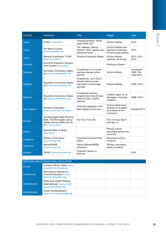| Country     | Institution                                                                                                    | <b>Title</b>                                                                                | <b>Target</b>                                                                     | Year                                  |
|-------------|----------------------------------------------------------------------------------------------------------------|---------------------------------------------------------------------------------------------|-----------------------------------------------------------------------------------|---------------------------------------|
| Latvia      | FCMC   www.fktk.lv                                                                                             | Videoprezentation "What<br>does FCMC do?"                                                   | School children                                                                   | 2013                                  |
| Latvia      | The Bank of Latvia<br>www.naudasskola.lv                                                                       | The Website "Money<br>School"- films, games and<br>interactive tools                        | School children and<br>teachers of econom-<br>ics and social science              | 2013                                  |
| Latvia      | National Coordinator: FCMC<br>http://www.fktk.lv                                                               | <b>Financial Education Weeks</b>                                                            | School children,<br>teachers, all society                                         | 2013, 2014,<br>2015                   |
| Lithuania   | Economic Education Develop-<br>ment Centre   www.essc.lt                                                       |                                                                                             | Starting at Grade 1                                                               |                                       |
| Malaysia    | Securities Commission Malay-<br>sia   www.investsmartsc.my                                                     | <b>InvestSmart: Fun Corner</b><br>(savings-themed online<br>games)                          | School children                                                                   | Developed<br>2008 / Re-<br>vised 2014 |
| Malaysia    | Securities Commission Malay-<br>sia   www.investsmartsc.my                                                     | InvestSmart: Jot It Down<br>(simple online journal /<br>calculator to encourage<br>savings) | School children                                                                   | 2008 / 2014                           |
| Malaysia    | Securities Commission Malay-<br>sia   www.investsmartsc.my                                                     | InvestSmart seminar<br>programmes: Kids & Cash,<br>Teens & Cash, Cash@<br>Campus            | Children aged 10-12,<br>teenagers; university<br>students.                        | 2008 / 2014                           |
| New Zealand | Ministry of Education<br>www.nzcurriculum.tki.org.nz                                                           | Financial Capability in the<br>New Zealand Curriculum                                       | School leaders and<br>teachers of students<br>at all levels of the<br>curriculum. | Revised 2014                          |
| Norway      | The Norwegian State Housing<br>Bank, The Norwegian Labour<br>Welfare Service (NAV) and JA-<br>YE   www.udir.no | Run Your Own Life                                                                           | Two curricula Age 9<br>and Age 15                                                 |                                       |
| Serbia      | National Bank of Serbia<br>www.nbs.rs                                                                          |                                                                                             | Primary school,<br>secondary school and<br>university                             |                                       |
| Singapore   | Ministry of Education<br>www.moe.gov.sg                                                                        | Food and Consumer Edu-<br>cation                                                            | Secondary school<br>students                                                      |                                       |
| Singapore   | <b>MoneySENSE</b><br>www.moe.gov.sg                                                                            | Various MoneySENSE<br>initiatives                                                           | Primary, secondary,<br>tertiary students                                          |                                       |
| Ukraine     | USAID   www.finrep.kiev.ua                                                                                     | Financial Literacy in<br>Schools                                                            |                                                                                   | 2012                                  |

| ed 10-12,<br>university | 2008 / 2014 |
|-------------------------|-------------|
| ders and                |             |

| REGIONAL AND INTERNATIONAL RESOURCES |                                                                                    |  |
|--------------------------------------|------------------------------------------------------------------------------------|--|
| Europe                               | European Money Week   www.<br>europeanmoneyweek.eu                                 |  |
| International                        | International Gateway for<br>Financial Education   www.<br>financial-education.org |  |
| International                        | Child and Youth Finance<br>International   www.childfi-<br>nanceinternational.org  |  |
| International                        | Junior Achievement  <br>https://www.jaworldwide.org                                |  |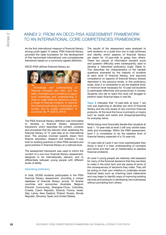### <span id="page-31-0"></span>ANNEX 2: FROM AN OECD-PISA ASSESSMENT FRAMEWORK TO AN INTERNATIONAL CORE COMPETENCIES FRAMEWORK

As the first international measure of financial literacy among youth (aged 15 years), PISA financial literacy provided the ideal foundation for the development of this harmonised international core competencies framework based on a commonly agreed definition.

OECD-PISA defines financial literacy as:

*" Knowledge and understanding of financial concepts and risks, and the skills, motivation and confidence to apply such knowledge and understanding in order to make effective decisions across a range of financial contexts, to improve the financial well-being of individuals and society, and to enable participation in economic life.* **"** (OECD, 2013).

The PISA financial literacy definition was formulated to develop a financial literacy assessment framework, which describes the content, contexts and processes that are relevant when assessing the financial literacy of 15 year-olds at an international level. The process involved experts drawn from finance, education, research and statistics. It was built on existing practices in other PISA domains and good practice in financial literacy at a national level.

The assessment framework was used to inform the content of a one hour financial literacy assessment, designed to be internationally relevant, and to differentiate between young people with different levels of ability.

### Describing proficiency

In total, 29,000 students participated in the PISA financial literacy assessment, providing a unique database of financial literacy across 18 diverse countries and economies (Australia, Belgium (Flemish Community), Shanghai-China, Colombia, Croatia, Czech Republic, Estonia, France, Israel, Italy, Latvia, New Zealand, Poland, Russia, Slovak Republic, Slovenia, Spain and United States).

The results of the assessment were analysed to rank students on a scale from low to high achievers and identify which aspects of financial literacy are easier for 15-year-olds to grasp than others. These two pieces of information (student score and question difficulty) were subsequently used to develop a 'described proficiency scale' (Table 4). This describes the characteristics of the hardest questions answered by the majority of students at each level of financial literacy, and assumes competency on aspects of financial literacy already described in the previous levels. In this proficiency scale, level 2 is considered to be the baseline level, or minimum level necessary for 15-year-old students to participate effectively and productively in society. Students who fail to reach this level will struggle to perform basic financial tasks in real life.

TABLE 4 indicates that 15-year-olds at level 1 are only just beginning to develop any kind of financial literacy and are only aware of very common financial products. At this level the focus is primarily on topics such as needs and wants and shopping/spending for everyday items.

Whilst being more financially literate than students at level 1, 15-year-olds at level 2 still only exhibit basic skills and knowledge. Within the PISA assessment, level 2 is considered to be the baseline level of financial literacy expected of a 15-year-old.

15-year-olds at Level 3 are more sophisticated than those in level 2 in their understanding of concepts and terms and their use of mathematics to address financial problems.

At Level 4 young people are relatively well prepared for many of the financial decisions that they are likely to make in the short term and are aware of some of the consequences of decisions they make. They will be acting on their own initiative to undertake simple financial tasks such as checking bank statements and may begin to identify ways of improving existing services and products or developing new businesses without prompting from others.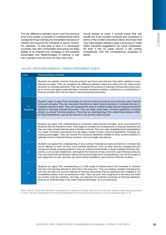<span id="page-32-0"></span>The key difference between level 5 and the previous level is the quality or breadth of understanding which is expected to go well beyond immediate relevance or visibility and beyond the individual or family context. For example, 15-year-olds at level 5 in developed countries may feel comfortable discussing the likely pitfalls of an interest-only mortgage or the possible advantages and disadvantages of starting to pay into a pension fund as soon as they start work.

Young people at Level 5 include those that can handle the most complex contexts and processes in terms of the content described below and those that may have already started to plan a business or make highly plausible suggestions for future enterprises. As level 5 has no upper bound, it will overlap considerably with the competencies expected of adults.

### Table A2.1 OECD-PISA financial literacy proficiency levels

| Level                             | <b>Characteristics of tasks</b>                                                                                                                                                                                                                                                                                                                                                                                                                                                                                                                                                                                                    |
|-----------------------------------|------------------------------------------------------------------------------------------------------------------------------------------------------------------------------------------------------------------------------------------------------------------------------------------------------------------------------------------------------------------------------------------------------------------------------------------------------------------------------------------------------------------------------------------------------------------------------------------------------------------------------------|
| 1                                 | Students can identify common financial products and terms and interpret information relating to basic<br>financial concepts. They can recognise the difference between needs and wants and can make simple<br>decisions on everyday spending. They can recognise the purpose of everyday financial documents such<br>as an invoice and apply single and basic numerical operations (addition, subtraction or multiplication) in<br>financial contexts that they are likely to have experienced personally.                                                                                                                         |
| $\overline{2}$<br><b>Baseline</b> | Students begin to apply their knowledge of common financial products and commonly used financial<br>terms and concepts. They can use given information to make financial decisions in contexts that are im-<br>mediately relevant to them. They can recognise the value of a simple budget and can interpret prominent<br>features of everyday financial documents. They can apply single basic numerical operations, including<br>division, to answer financial questions. They show an understanding of the relationships between differ-<br>ent financial elements, such as the amount of use and the costs incurred.           |
| 3                                 | Students can apply their understanding of commonly used financial concepts, terms and products to<br>situations that are relevant to them. They begin to consider the consequences of financial decisions and<br>they can make simple financial plans in familiar contexts. They can make straightforward interpretations<br>of a range of financial documents and can apply a range of basic numerical operations, including cal-<br>culating percentages. They can choose the numerical operations needed to solve routine problems in<br>relatively common financial literacy contexts, such as budget calculations.            |
| 4                                 | Students can apply their understanding of less common financial concepts and terms to contexts that<br>will be relevant to them as they move towards adulthood, such as bank account management and<br>compound interest in saving products. They can interpret and evaluate a range of detailed financial doc-<br>uments, such as bank statements, and explain the functions of less commonly used financial products.<br>They can make financial decisions taking into account longer-term consequences, such as the impact of<br>loan repayment on cost, and they can solve routine problems in less common financial contexts. |
| 5                                 | Students can apply their understanding of a wide range of financial terms and concepts to contexts<br>that may only become relevant to their lives in the long term. They can analyse complex financial prod-<br>ucts and can take into account features of financial documents that are significant but unstated or not<br>immediately evident, such as transaction costs. They can work with a high level of accuracy and solve<br>non-routine financial problems, and they can describe the potential outcomes of financial decisions,<br>showing an understanding of the wider financial landscape, such as income tax.        |

Source: OECD, 2014b. Note that PISA is an assessment of students in schools, hence the use of the term 'students' rather than young people or youth. The core competencies framework being discussed in this document has a broader focus on young people aged 15-18.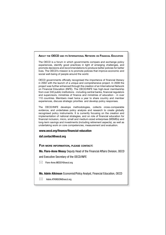### About the OECD and its International Network on Financial Education

The OECD is a forum in which governments compare and exchange policy experiences, identify good practices in light of emerging challenges, and promote decisions and recommendations to produce better policies for better lives. The OECD's mission is to promote policies that improve economic and social well-being of people around the world.

OECD governments officially recognised the importance of financial literacy in 2002 with the launch of a unique and comprehensive project. In 2008 the project was further enhanced through the creation of an International Network on Financial Education (INFE). The OECD/INFE has high-level membership from over 240 public institutions - including central banks, financial regulators and supervisors, ministries of finance and ministries of education - in over 110 countries. Members meet twice a year to share country and member experiences, discuss strategic priorities and develop policy responses.

The OECD/INFE develops methodologies, collects cross-comparable evidence, and undertakes policy analysis and research to create globally recognised policy instruments. It is currently focusing on the creation and implementation of national strategies, and on role of financial education for financial inclusion, micro, small and medium-sized enterprises (MSMEs) and long-term savings and investments (including retirement aspects), as well as undertaking work on core competencies, measurement and evaluation.

www.oecd.org/finance/financial-education

daf.contact@oecd.org

For more information, please contact:

Ms. Flore-Anne Messy Deputy Head of the Financial Affairs Division, OECD

and Executive Secretary of the OECD/INFE

Flore-Anne.MESSY@oecd.org

Ms. Adele Atkinson Economist/Policy Analyst, Financial Education, OECD

 $\boxtimes$  Adele.ATKINSON@oecd.org